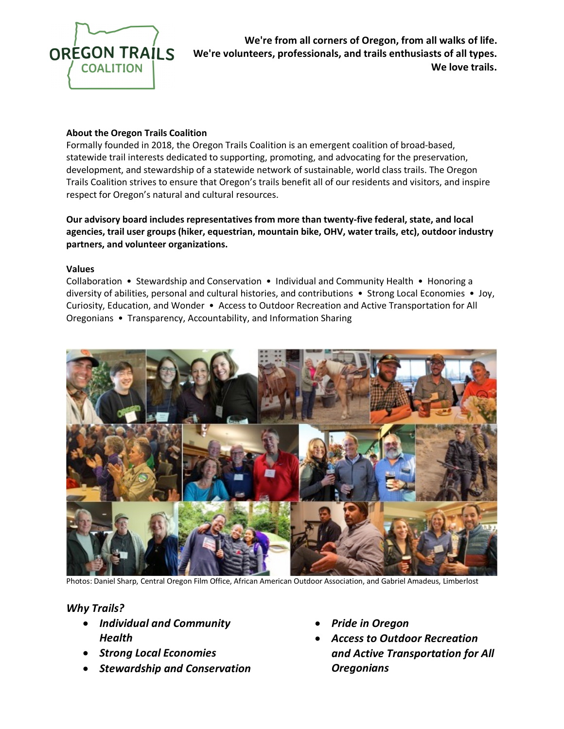

**We're from all corners of Oregon, from all walks of life. We're volunteers, professionals, and trails enthusiasts of all types. We love trails.**

### **About the Oregon Trails Coalition**

Formally founded in 2018, the Oregon Trails Coalition is an emergent coalition of broad-based, statewide trail interests dedicated to supporting, promoting, and advocating for the preservation, development, and stewardship of a statewide network of sustainable, world class trails. The Oregon Trails Coalition strives to ensure that Oregon's trails benefit all of our residents and visitors, and inspire respect for Oregon's natural and cultural resources.

**Our advisory board includes representatives from more than twenty-five federal, state, and local agencies, trail user groups (hiker, equestrian, mountain bike, OHV, water trails, etc), outdoor industry partners, and volunteer organizations.**

#### **Values**

Collaboration • Stewardship and Conservation • Individual and Community Health • Honoring a diversity of abilities, personal and cultural histories, and contributions • Strong Local Economies • Joy, Curiosity, Education, and Wonder • Access to Outdoor Recreation and Active Transportation for All Oregonians • Transparency, Accountability, and Information Sharing



Photos: Daniel Sharp, Central Oregon Film Office, African American Outdoor Association, and Gabriel Amadeus, Limberlost

### *Why Trails?*

- *Individual and Community Health*
- *Strong Local Economies*
- *Stewardship and Conservation*
- *Pride in Oregon*
- *Access to Outdoor Recreation and Active Transportation for All Oregonians*